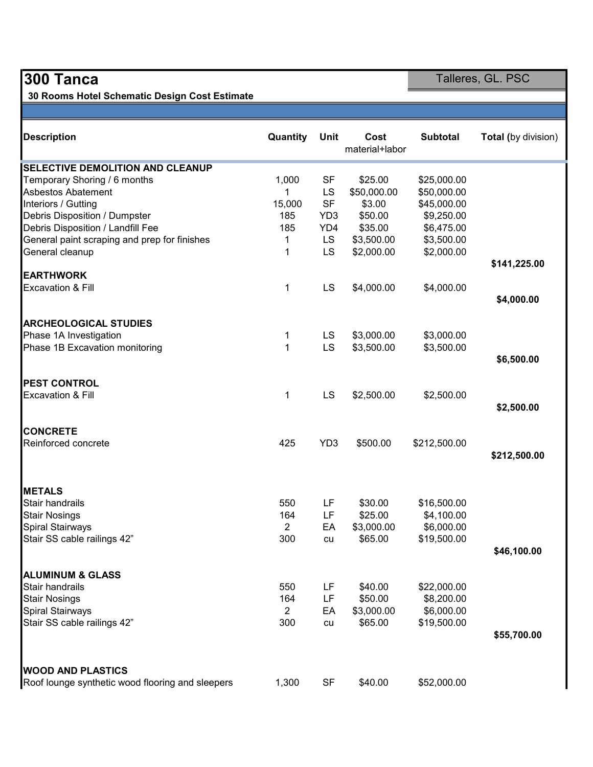30 Rooms Hotel Schematic Design Cost Estimate

**300 Tanca** Talleres, GL. PSC

| <b>Description</b>                               | Quantity       | Unit            | Cost<br>material+labor | <b>Subtotal</b> | <b>Total (by division)</b> |
|--------------------------------------------------|----------------|-----------------|------------------------|-----------------|----------------------------|
| <b>SELECTIVE DEMOLITION AND CLEANUP</b>          |                |                 |                        |                 |                            |
| Temporary Shoring / 6 months                     | 1,000          | <b>SF</b>       | \$25.00                | \$25,000.00     |                            |
| <b>Asbestos Abatement</b>                        | 1              | LS              | \$50,000.00            | \$50,000.00     |                            |
| Interiors / Gutting                              | 15,000         | <b>SF</b>       | \$3.00                 | \$45,000.00     |                            |
| Debris Disposition / Dumpster                    | 185            | YD <sub>3</sub> | \$50.00                | \$9,250.00      |                            |
| Debris Disposition / Landfill Fee                | 185            | YD4             | \$35.00                | \$6,475.00      |                            |
| General paint scraping and prep for finishes     | 1              | <b>LS</b>       | \$3,500.00             | \$3,500.00      |                            |
| General cleanup                                  | 1              | LS              | \$2,000.00             | \$2,000.00      | \$141,225.00               |
| <b>EARTHWORK</b>                                 |                |                 |                        |                 |                            |
| <b>Excavation &amp; Fill</b>                     | 1              | LS              | \$4,000.00             | \$4,000.00      |                            |
|                                                  |                |                 |                        |                 | \$4,000.00                 |
| <b>ARCHEOLOGICAL STUDIES</b>                     |                |                 |                        |                 |                            |
| Phase 1A Investigation                           | 1              | LS              | \$3,000.00             | \$3,000.00      |                            |
| Phase 1B Excavation monitoring                   | $\mathbf{1}$   | LS              | \$3,500.00             | \$3,500.00      |                            |
|                                                  |                |                 |                        |                 | \$6,500.00                 |
| <b>PEST CONTROL</b>                              |                |                 |                        |                 |                            |
| <b>Excavation &amp; Fill</b>                     | 1              | LS              | \$2,500.00             | \$2,500.00      |                            |
|                                                  |                |                 |                        |                 | \$2,500.00                 |
| <b>CONCRETE</b>                                  |                |                 |                        |                 |                            |
| Reinforced concrete                              | 425            | YD <sub>3</sub> | \$500.00               | \$212,500.00    |                            |
|                                                  |                |                 |                        |                 | \$212,500.00               |
| <b>METALS</b>                                    |                |                 |                        |                 |                            |
| Stair handrails                                  | 550            | LF              | \$30.00                | \$16,500.00     |                            |
| <b>Stair Nosings</b>                             | 164            | LF              | \$25.00                | \$4,100.00      |                            |
| Spiral Stairways                                 | $\overline{2}$ | EA              | \$3,000.00             | \$6,000.00      |                            |
| Stair SS cable railings 42"                      | 300            | cu              | \$65.00                | \$19,500.00     |                            |
|                                                  |                |                 |                        |                 | \$46,100.00                |
|                                                  |                |                 |                        |                 |                            |
| <b>ALUMINUM &amp; GLASS</b>                      |                |                 |                        |                 |                            |
| Stair handrails                                  | 550            | LF              | \$40.00                | \$22,000.00     |                            |
| <b>Stair Nosings</b>                             | 164            | LF              | \$50.00                | \$8,200.00      |                            |
| Spiral Stairways                                 | $\overline{2}$ | EA              | \$3,000.00             | \$6,000.00      |                            |
| Stair SS cable railings 42"                      | 300            | cu              | \$65.00                | \$19,500.00     |                            |
|                                                  |                |                 |                        |                 | \$55,700.00                |
| <b>WOOD AND PLASTICS</b>                         |                |                 |                        |                 |                            |
| Roof lounge synthetic wood flooring and sleepers | 1,300          | SF              | \$40.00                | \$52,000.00     |                            |
|                                                  |                |                 |                        |                 |                            |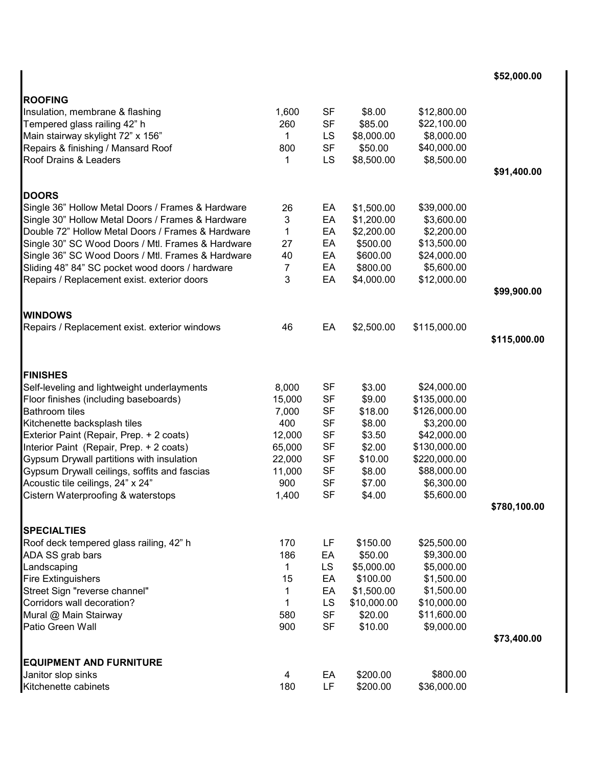\$52,000.00

| <b>ROOFING</b>                                                |             |           |             |              |              |
|---------------------------------------------------------------|-------------|-----------|-------------|--------------|--------------|
| Insulation, membrane & flashing                               | 1,600       | SF        | \$8.00      | \$12,800.00  |              |
| Tempered glass railing 42" h                                  | 260         | <b>SF</b> | \$85.00     | \$22,100.00  |              |
| Main stairway skylight 72" x 156"                             | $\mathbf 1$ | LS        | \$8,000.00  | \$8,000.00   |              |
| Repairs & finishing / Mansard Roof                            | 800         | <b>SF</b> | \$50.00     | \$40,000.00  |              |
| Roof Drains & Leaders                                         | 1           | LS        | \$8,500.00  | \$8,500.00   |              |
|                                                               |             |           |             |              | \$91,400.00  |
| <b>DOORS</b>                                                  |             |           |             |              |              |
| Single 36" Hollow Metal Doors / Frames & Hardware             | 26          | EA        | \$1,500.00  | \$39,000.00  |              |
| Single 30" Hollow Metal Doors / Frames & Hardware             | 3           | EA        | \$1,200.00  | \$3,600.00   |              |
| Double 72" Hollow Metal Doors / Frames & Hardware             | 1           | EA        | \$2,200.00  | \$2,200.00   |              |
| Single 30" SC Wood Doors / Mtl. Frames & Hardware             | 27          | EA        | \$500.00    | \$13,500.00  |              |
| Single 36" SC Wood Doors / Mtl. Frames & Hardware             | 40          | EA        | \$600.00    | \$24,000.00  |              |
| Sliding 48" 84" SC pocket wood doors / hardware               | 7           | EA        | \$800.00    | \$5,600.00   |              |
| Repairs / Replacement exist. exterior doors                   | 3           | EA        | \$4,000.00  | \$12,000.00  |              |
|                                                               |             |           |             |              | \$99,900.00  |
| <b>WINDOWS</b>                                                |             |           |             |              |              |
| Repairs / Replacement exist. exterior windows                 | 46          | EA        | \$2,500.00  | \$115,000.00 |              |
|                                                               |             |           |             |              | \$115,000.00 |
|                                                               |             |           |             |              |              |
| <b>FINISHES</b>                                               |             |           |             |              |              |
| Self-leveling and lightweight underlayments                   | 8,000       | <b>SF</b> | \$3.00      | \$24,000.00  |              |
| Floor finishes (including baseboards)                         | 15,000      | <b>SF</b> | \$9.00      | \$135,000.00 |              |
| <b>Bathroom tiles</b>                                         | 7,000       | <b>SF</b> | \$18.00     | \$126,000.00 |              |
| Kitchenette backsplash tiles                                  | 400         | <b>SF</b> | \$8.00      | \$3,200.00   |              |
| Exterior Paint (Repair, Prep. + 2 coats)                      | 12,000      | <b>SF</b> | \$3.50      | \$42,000.00  |              |
| Interior Paint (Repair, Prep. + 2 coats)                      | 65,000      | <b>SF</b> | \$2.00      | \$130,000.00 |              |
| Gypsum Drywall partitions with insulation                     | 22,000      | <b>SF</b> | \$10.00     | \$220,000.00 |              |
| Gypsum Drywall ceilings, soffits and fascias                  | 11,000      | <b>SF</b> | \$8.00      | \$88,000.00  |              |
| Acoustic tile ceilings, 24" x 24"                             | 900         | <b>SF</b> | \$7.00      | \$6,300.00   |              |
| Cistern Waterproofing & waterstops                            | 1,400       | <b>SF</b> | \$4.00      | \$5,600.00   | \$780,100.00 |
|                                                               |             |           |             |              |              |
| <b>SPECIALTIES</b><br>Roof deck tempered glass railing, 42" h | 170         | LF        | \$150.00    | \$25,500.00  |              |
| ADA SS grab bars                                              | 186         | EA        | \$50.00     | \$9,300.00   |              |
| Landscaping                                                   | 1           | LS        | \$5,000.00  | \$5,000.00   |              |
| <b>Fire Extinguishers</b>                                     | 15          | EA        | \$100.00    | \$1,500.00   |              |
| Street Sign "reverse channel"                                 | 1           | EA        | \$1,500.00  | \$1,500.00   |              |
| Corridors wall decoration?                                    | 1           | LS        | \$10,000.00 | \$10,000.00  |              |
| Mural @ Main Stairway                                         | 580         | <b>SF</b> | \$20.00     | \$11,600.00  |              |
| Patio Green Wall                                              | 900         | <b>SF</b> | \$10.00     | \$9,000.00   |              |
|                                                               |             |           |             |              | \$73,400.00  |
| <b>EQUIPMENT AND FURNITURE</b>                                |             |           |             |              |              |
| Janitor slop sinks                                            | 4           | EA        | \$200.00    | \$800.00     |              |
| Kitchenette cabinets                                          | 180         | LF        | \$200.00    | \$36,000.00  |              |
|                                                               |             |           |             |              |              |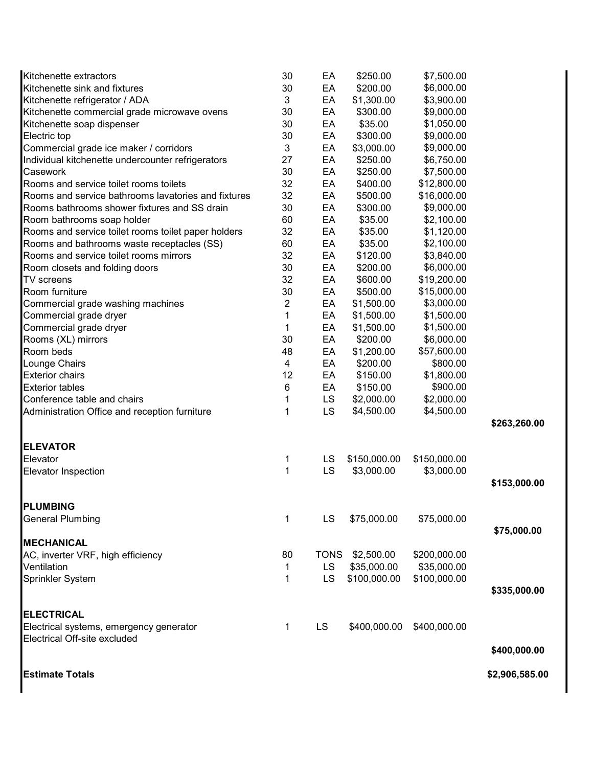| Kitchenette extractors                              | 30                      | EA          | \$250.00     | \$7,500.00   |                |
|-----------------------------------------------------|-------------------------|-------------|--------------|--------------|----------------|
| Kitchenette sink and fixtures                       | 30                      | EA          | \$200.00     | \$6,000.00   |                |
| Kitchenette refrigerator / ADA                      | $\mathbf{3}$            | EA          | \$1,300.00   | \$3,900.00   |                |
| Kitchenette commercial grade microwave ovens        | 30                      | EA          | \$300.00     | \$9,000.00   |                |
| Kitchenette soap dispenser                          | 30                      | EA          | \$35.00      | \$1,050.00   |                |
| Electric top                                        | 30                      | EA          | \$300.00     | \$9,000.00   |                |
| Commercial grade ice maker / corridors              | $\sqrt{3}$              | EA          | \$3,000.00   | \$9,000.00   |                |
| Individual kitchenette undercounter refrigerators   | 27                      | EA          | \$250.00     | \$6,750.00   |                |
| Casework                                            | 30                      | EA          | \$250.00     | \$7,500.00   |                |
| Rooms and service toilet rooms toilets              | 32                      | EA          | \$400.00     | \$12,800.00  |                |
| Rooms and service bathrooms lavatories and fixtures | 32                      | EA          | \$500.00     | \$16,000.00  |                |
| Rooms bathrooms shower fixtures and SS drain        | 30                      | EA          | \$300.00     | \$9,000.00   |                |
| Room bathrooms soap holder                          | 60                      | EA          | \$35.00      | \$2,100.00   |                |
| Rooms and service toilet rooms toilet paper holders | 32                      | EA          | \$35.00      | \$1,120.00   |                |
| Rooms and bathrooms waste receptacles (SS)          | 60                      | EA          | \$35.00      | \$2,100.00   |                |
| Rooms and service toilet rooms mirrors              | 32                      | EA          | \$120.00     | \$3,840.00   |                |
| Room closets and folding doors                      | 30                      | EA          | \$200.00     | \$6,000.00   |                |
| <b>TV</b> screens                                   | 32                      | EA          | \$600.00     | \$19,200.00  |                |
| Room furniture                                      | 30                      | EA          | \$500.00     | \$15,000.00  |                |
| Commercial grade washing machines                   | $\sqrt{2}$              | EA          | \$1,500.00   | \$3,000.00   |                |
| Commercial grade dryer                              | 1                       | EA          | \$1,500.00   | \$1,500.00   |                |
| Commercial grade dryer                              | 1                       | EA          | \$1,500.00   | \$1,500.00   |                |
| Rooms (XL) mirrors                                  | 30                      | EA          | \$200.00     | \$6,000.00   |                |
| Room beds                                           | 48                      | EA          | \$1,200.00   | \$57,600.00  |                |
| Lounge Chairs                                       | $\overline{\mathbf{4}}$ | EA          | \$200.00     | \$800.00     |                |
| <b>Exterior chairs</b>                              | 12                      | EA          | \$150.00     | \$1,800.00   |                |
| <b>Exterior tables</b>                              | $\,6$                   | EA          | \$150.00     | \$900.00     |                |
| Conference table and chairs                         | 1                       | LS          | \$2,000.00   | \$2,000.00   |                |
| Administration Office and reception furniture       | 1                       | LS          | \$4,500.00   | \$4,500.00   |                |
|                                                     |                         |             |              |              | \$263,260.00   |
| <b>ELEVATOR</b>                                     |                         |             |              |              |                |
| Elevator                                            | 1                       | LS          | \$150,000.00 | \$150,000.00 |                |
| <b>Elevator Inspection</b>                          | 1                       | LS          | \$3,000.00   | \$3,000.00   |                |
|                                                     |                         |             |              |              | \$153,000.00   |
| <b>PLUMBING</b>                                     |                         |             |              |              |                |
| <b>General Plumbing</b>                             | 1                       | LS          | \$75,000.00  | \$75,000.00  |                |
|                                                     |                         |             |              |              | \$75,000.00    |
| <b>MECHANICAL</b>                                   |                         |             |              |              |                |
| AC, inverter VRF, high efficiency                   | 80                      | <b>TONS</b> | \$2,500.00   | \$200,000.00 |                |
| Ventilation                                         | 1                       | <b>LS</b>   | \$35,000.00  | \$35,000.00  |                |
| Sprinkler System                                    | 1                       | LS          | \$100,000.00 | \$100,000.00 |                |
|                                                     |                         |             |              |              | \$335,000.00   |
| <b>ELECTRICAL</b>                                   |                         |             |              |              |                |
| Electrical systems, emergency generator             | 1                       | LS          | \$400,000.00 | \$400,000.00 |                |
| Electrical Off-site excluded                        |                         |             |              |              |                |
|                                                     |                         |             |              |              | \$400,000.00   |
|                                                     |                         |             |              |              |                |
| <b>Estimate Totals</b>                              |                         |             |              |              | \$2,906,585.00 |
|                                                     |                         |             |              |              |                |